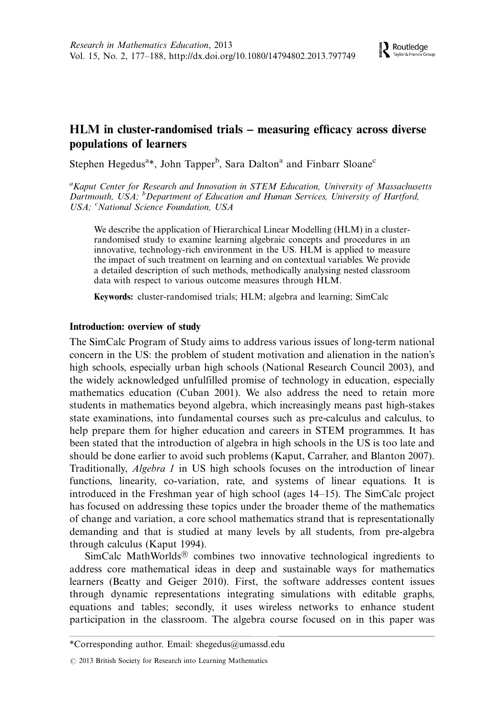# $HLM$  in cluster-randomised trials  $-$  measuring efficacy across diverse populations of learners

Stephen Hegedus<sup>a\*</sup>, John Tapper<sup>b</sup>, Sara Dalton<sup>a</sup> and Finbarr Sloane<sup>c</sup>

a<br>Kaput Center for Research and Innovation in STEM Education, University of Massachusetts<br>Dartmouth, USA; <sup>b</sup>Department of Education and Human Services, University of Hartford, USA; <sup>c</sup>National Science Foundation, USA

We describe the application of Hierarchical Linear Modelling (HLM) in a clusterrandomised study to examine learning algebraic concepts and procedures in an innovative, technology-rich environment in the US. HLM is applied to measure the impact of such treatment on learning and on contextual variables. We provide a detailed description of such methods, methodically analysing nested classroom data with respect to various outcome measures through HLM.

Keywords: cluster-randomised trials; HLM; algebra and learning; SimCalc

# Introduction: overview of study

The SimCalc Program of Study aims to address various issues of long-term national concern in the US: the problem of student motivation and alienation in the nation's high schools, especially urban high schools (National Research Council 2003), and the widely acknowledged unfulfilled promise of technology in education, especially mathematics education (Cuban 2001). We also address the need to retain more students in mathematics beyond algebra, which increasingly means past high-stakes state examinations, into fundamental courses such as pre-calculus and calculus, to help prepare them for higher education and careers in STEM programmes. It has been stated that the introduction of algebra in high schools in the US is too late and should be done earlier to avoid such problems (Kaput, Carraher, and Blanton 2007). Traditionally, Algebra 1 in US high schools focuses on the introduction of linear functions, linearity, co-variation, rate, and systems of linear equations. It is introduced in the Freshman year of high school (ages 14–15). The SimCalc project has focused on addressing these topics under the broader theme of the mathematics of change and variation, a core school mathematics strand that is representationally demanding and that is studied at many levels by all students, from pre-algebra through calculus (Kaput 1994).

 $SimCalc$  MathWorlds<sup>®</sup> combines two innovative technological ingredients to address core mathematical ideas in deep and sustainable ways for mathematics learners (Beatty and Geiger 2010). First, the software addresses content issues through dynamic representations integrating simulations with editable graphs, equations and tables; secondly, it uses wireless networks to enhance student participation in the classroom. The algebra course focused on in this paper was

<sup>\*</sup>Corresponding author. Email: shegedus@umassd.edu

 $\odot$  2013 British Society for Research into Learning Mathematics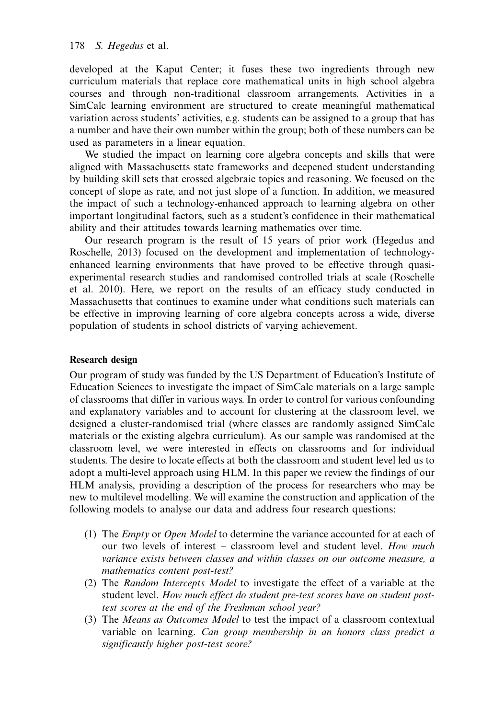developed at the Kaput Center; it fuses these two ingredients through new curriculum materials that replace core mathematical units in high school algebra courses and through non-traditional classroom arrangements. Activities in a SimCalc learning environment are structured to create meaningful mathematical variation across students' activities, e.g. students can be assigned to a group that has a number and have their own number within the group; both of these numbers can be used as parameters in a linear equation.

We studied the impact on learning core algebra concepts and skills that were aligned with Massachusetts state frameworks and deepened student understanding by building skill sets that crossed algebraic topics and reasoning. We focused on the concept of slope as rate, and not just slope of a function. In addition, we measured the impact of such a technology-enhanced approach to learning algebra on other important longitudinal factors, such as a student's confidence in their mathematical ability and their attitudes towards learning mathematics over time.

Our research program is the result of 15 years of prior work (Hegedus and Roschelle, 2013) focused on the development and implementation of technologyenhanced learning environments that have proved to be effective through quasiexperimental research studies and randomised controlled trials at scale (Roschelle et al. 2010). Here, we report on the results of an efficacy study conducted in Massachusetts that continues to examine under what conditions such materials can be effective in improving learning of core algebra concepts across a wide, diverse population of students in school districts of varying achievement.

# Research design

Our program of study was funded by the US Department of Education's Institute of Education Sciences to investigate the impact of SimCalc materials on a large sample of classrooms that differ in various ways. In order to control for various confounding and explanatory variables and to account for clustering at the classroom level, we designed a cluster-randomised trial (where classes are randomly assigned SimCalc materials or the existing algebra curriculum). As our sample was randomised at the classroom level, we were interested in effects on classrooms and for individual students. The desire to locate effects at both the classroom and student level led us to adopt a multi-level approach using HLM. In this paper we review the findings of our HLM analysis, providing a description of the process for researchers who may be new to multilevel modelling. We will examine the construction and application of the following models to analyse our data and address four research questions:

- (1) The Empty or Open Model to determine the variance accounted for at each of our two levels of interest – classroom level and student level. How much variance exists between classes and within classes on our outcome measure, a mathematics content post-test?
- (2) The Random Intercepts Model to investigate the effect of a variable at the student level. How much effect do student pre-test scores have on student posttest scores at the end of the Freshman school year?
- (3) The Means as Outcomes Model to test the impact of a classroom contextual variable on learning. Can group membership in an honors class predict a significantly higher post-test score?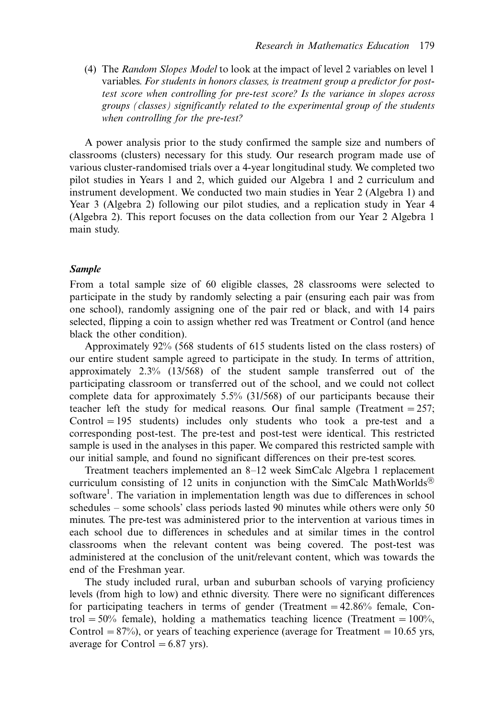(4) The Random Slopes Model to look at the impact of level 2 variables on level 1 variables. For students in honors classes, is treatment group a predictor for posttest score when controlling for pre-test score? Is the variance in slopes across groups (classes) significantly related to the experimental group of the students when controlling for the pre-test?

A power analysis prior to the study confirmed the sample size and numbers of classrooms (clusters) necessary for this study. Our research program made use of various cluster-randomised trials over a 4-year longitudinal study. We completed two pilot studies in Years 1 and 2, which guided our Algebra 1 and 2 curriculum and instrument development. We conducted two main studies in Year 2 (Algebra 1) and Year 3 (Algebra 2) following our pilot studies, and a replication study in Year 4 (Algebra 2). This report focuses on the data collection from our Year 2 Algebra 1 main study.

# Sample

From a total sample size of 60 eligible classes, 28 classrooms were selected to participate in the study by randomly selecting a pair (ensuring each pair was from one school), randomly assigning one of the pair red or black, and with 14 pairs selected, flipping a coin to assign whether red was Treatment or Control (and hence black the other condition).

Approximately 92% (568 students of 615 students listed on the class rosters) of our entire student sample agreed to participate in the study. In terms of attrition, approximately 2.3% (13/568) of the student sample transferred out of the participating classroom or transferred out of the school, and we could not collect complete data for approximately 5.5% (31/568) of our participants because their teacher left the study for medical reasons. Our final sample (Treatment  $= 257$ ; Control  $= 195$  students) includes only students who took a pre-test and a corresponding post-test. The pre-test and post-test were identical. This restricted sample is used in the analyses in this paper. We compared this restricted sample with our initial sample, and found no significant differences on their pre-test scores.

Treatment teachers implemented an 812 week SimCalc Algebra 1 replacement curriculum consisting of 12 units in conjunction with the SimCalc MathWorlds<sup>®</sup> software<sup>1</sup>. The variation in implementation length was due to differences in school schedules – some schools' class periods lasted 90 minutes while others were only 50 minutes. The pre-test was administered prior to the intervention at various times in each school due to differences in schedules and at similar times in the control classrooms when the relevant content was being covered. The post-test was administered at the conclusion of the unit/relevant content, which was towards the end of the Freshman year.

The study included rural, urban and suburban schools of varying proficiency levels (from high to low) and ethnic diversity. There were no significant differences for participating teachers in terms of gender (Treatment  $= 42.86\%$  female, Control =  $50\%$  female), holding a mathematics teaching licence (Treatment =  $100\%$ , Control =  $87\%$ ), or years of teaching experience (average for Treatment = 10.65 yrs, average for Control  $= 6.87$  yrs).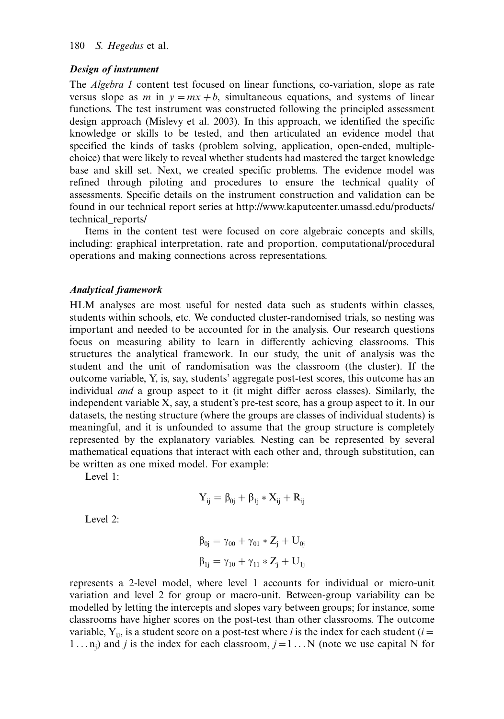# Design of instrument

The Algebra 1 content test focused on linear functions, co-variation, slope as rate versus slope as m in  $y = mx + b$ , simultaneous equations, and systems of linear functions. The test instrument was constructed following the principled assessment design approach (Mislevy et al. 2003). In this approach, we identified the specific knowledge or skills to be tested, and then articulated an evidence model that specified the kinds of tasks (problem solving, application, open-ended, multiplechoice) that were likely to reveal whether students had mastered the target knowledge base and skill set. Next, we created specific problems. The evidence model was refined through piloting and procedures to ensure the technical quality of assessments. Specific details on the instrument construction and validation can be found in our technical report series at [http://www.kaputcenter.umassd.edu/products/](http://www.kaputcenter.umassd.edu/products/technical_reports/) [technical\\_reports/](http://www.kaputcenter.umassd.edu/products/technical_reports/)

Items in the content test were focused on core algebraic concepts and skills, including: graphical interpretation, rate and proportion, computational/procedural operations and making connections across representations.

# Analytical framework

HLM analyses are most useful for nested data such as students within classes, students within schools, etc. We conducted cluster-randomised trials, so nesting was important and needed to be accounted for in the analysis. Our research questions focus on measuring ability to learn in differently achieving classrooms. This structures the analytical framework. In our study, the unit of analysis was the student and the unit of randomisation was the classroom (the cluster). If the outcome variable, Y, is, say, students' aggregate post-test scores, this outcome has an individual and a group aspect to it (it might differ across classes). Similarly, the independent variable X, say, a student's pre-test score, has a group aspect to it. In our datasets, the nesting structure (where the groups are classes of individual students) is meaningful, and it is unfounded to assume that the group structure is completely represented by the explanatory variables. Nesting can be represented by several mathematical equations that interact with each other and, through substitution, can be written as one mixed model. For example:

Level 1:

$$
Y_{ij}=\beta_{0j}+\beta_{1j}*X_{ij}+R_{ij}
$$

Level 2:

$$
\begin{aligned} \beta_{0j} &= \gamma_{00} + \gamma_{01} * Z_j + U_{0j} \\ \beta_{1j} &= \gamma_{10} + \gamma_{11} * Z_j + U_{1j} \end{aligned}
$$

represents a 2-level model, where level 1 accounts for individual or micro-unit variation and level 2 for group or macro-unit. Between-group variability can be modelled by letting the intercepts and slopes vary between groups; for instance, some classrooms have higher scores on the post-test than other classrooms. The outcome variable,  $Y_{ij}$ , is a student score on a post-test where *i* is the index for each student (*i* =  $1 \dots n_j$ ) and *j* is the index for each classroom,  $j = 1 \dots N$  (note we use capital N for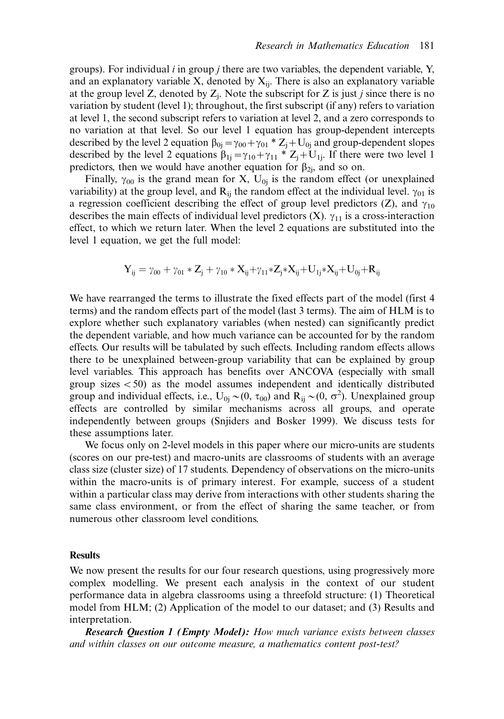groups). For individual  $i$  in group  $j$  there are two variables, the dependent variable, Y, and an explanatory variable X, denoted by  $X_{ij}$ . There is also an explanatory variable at the group level Z, denoted by  $Z_i$ . Note the subscript for Z is just j since there is no variation by student (level 1); throughout, the first subscript (if any) refers to variation at level 1, the second subscript refers to variation at level 2, and a zero corresponds to no variation at that level. So our level 1 equation has group-dependent intercepts described by the level 2 equation  $\beta_{0j} = \gamma_{00} + \gamma_{01} * Z_j + U_{0j}$  and group-dependent slopes described by the level 2 equations  $\beta_{1j} = \gamma_{10} + \gamma_{11} * Z_j + U_{1j}$ . If there were two level 1 predictors, then we would have another equation for  $\beta_{2i}$ , and so on.

Finally,  $\gamma_{00}$  is the grand mean for X, U<sub>0i</sub> is the random effect (or unexplained variability) at the group level, and  $R_{ij}$  the random effect at the individual level.  $\gamma_{01}$  is a regression coefficient describing the effect of group level predictors  $(Z)$ , and  $\gamma_{10}$ describes the main effects of individual level predictors  $(X)$ .  $\gamma_{11}$  is a cross-interaction effect, to which we return later. When the level 2 equations are substituted into the level 1 equation, we get the full model:

$$
Y_{ij} = \gamma_{00} + \gamma_{01} * Z_j + \gamma_{10} * X_{ij} + \gamma_{11} * Z_j * X_{ij} + U_{1j} * X_{ij} + U_{0j} + R_{ij}
$$

We have rearranged the terms to illustrate the fixed effects part of the model (first 4 terms) and the random effects part of the model (last 3 terms). The aim of HLM is to explore whether such explanatory variables (when nested) can significantly predict the dependent variable, and how much variance can be accounted for by the random effects. Our results will be tabulated by such effects. Including random effects allows there to be unexplained between-group variability that can be explained by group level variables. This approach has benefits over ANCOVA (especially with small group sizes  $<$  50) as the model assumes independent and identically distributed group and individual effects, i.e.,  $U_{0j} \sim (0, \tau_{00})$  and  $R_{ij} \sim (0, \sigma^2)$ . Unexplained group effects are controlled by similar mechanisms across all groups, and operate independently between groups (Snjiders and Bosker 1999). We discuss tests for these assumptions later.

We focus only on 2-level models in this paper where our micro-units are students (scores on our pre-test) and macro-units are classrooms of students with an average class size (cluster size) of 17 students. Dependency of observations on the micro-units within the macro-units is of primary interest. For example, success of a student within a particular class may derive from interactions with other students sharing the same class environment, or from the effect of sharing the same teacher, or from numerous other classroom level conditions.

# Results

We now present the results for our four research questions, using progressively more complex modelling. We present each analysis in the context of our student performance data in algebra classrooms using a threefold structure: (1) Theoretical model from HLM; (2) Application of the model to our dataset; and (3) Results and interpretation.

Research Question 1 (Empty Model): How much variance exists between classes and within classes on our outcome measure, a mathematics content post-test?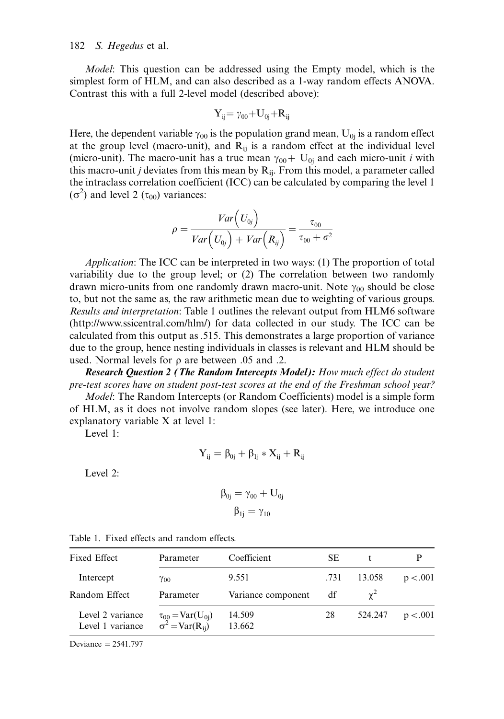Model: This question can be addressed using the Empty model, which is the simplest form of HLM, and can also described as a 1-way random effects ANOVA. Contrast this with a full 2-level model (described above):

$$
Y_{ij} = \gamma_{00} + U_{0j} + R_{ij}
$$

Here, the dependent variable  $\gamma_{00}$  is the population grand mean, U<sub>0j</sub> is a random effect at the group level (macro-unit), and  $R_{ij}$  is a random effect at the individual level (micro-unit). The macro-unit has a true mean  $\gamma_{00}$  + U<sub>0j</sub> and each micro-unit *i* with this macro-unit *j* deviates from this mean by  $R_{ii}$ . From this model, a parameter called the intraclass correlation coefficient (ICC) can be calculated by comparing the level 1  $(\sigma^2)$  and level 2 ( $\tau_{00}$ ) variances:

$$
\rho = \frac{Var\left(U_{0j}\right)}{Var\left(U_{0j}\right) + Var\left(R_{ij}\right)} = \frac{\tau_{00}}{\tau_{00} + \sigma^2}
$$

Application: The ICC can be interpreted in two ways: (1) The proportion of total variability due to the group level; or (2) The correlation between two randomly drawn micro-units from one randomly drawn macro-unit. Note  $\gamma_{00}$  should be close to, but not the same as, the raw arithmetic mean due to weighting of various groups. Results and interpretation: Table 1 outlines the relevant output from HLM6 software [\(http://www.ssicentral.com/hlm/\)](http://www.ssicentral.com/hlm/) for data collected in our study. The ICC can be calculated from this output as .515. This demonstrates a large proportion of variance due to the group, hence nesting individuals in classes is relevant and HLM should be used. Normal levels for  $\rho$  are between .05 and .2.

Research Question 2 (The Random Intercepts Model): How much effect do student pre-test scores have on student post-test scores at the end of the Freshman school year?

*Model*: The Random Intercepts (or Random Coefficients) model is a simple form of HLM, as it does not involve random slopes (see later). Here, we introduce one explanatory variable X at level 1:

Level 1:

$$
Y_{ij}=\beta_{0j}+\beta_{1j}*X_{ij}+R_{ij}
$$

Level 2:

$$
\beta_{0j}=\gamma_{00}+U_{0j}\\ \beta_{1j}=\gamma_{10}
$$

| <b>Fixed Effect</b>                  | Parameter                                                           | Coefficient        | SE.  |         |          |
|--------------------------------------|---------------------------------------------------------------------|--------------------|------|---------|----------|
| Intercept                            | $\gamma_{00}$                                                       | 9.551              | .731 | 13.058  | p < .001 |
| Random Effect                        | Parameter                                                           | Variance component | df   |         |          |
| Level 2 variance<br>Level 1 variance | $\tau_{00} = \text{Var}(U_{0i})$<br>$\sigma^2 = \text{Var}(R_{ii})$ | 14.509<br>13.662   | 28   | 524.247 | p < .001 |

Table 1. Fixed effects and random effects.

Deviance  $= 2541.797$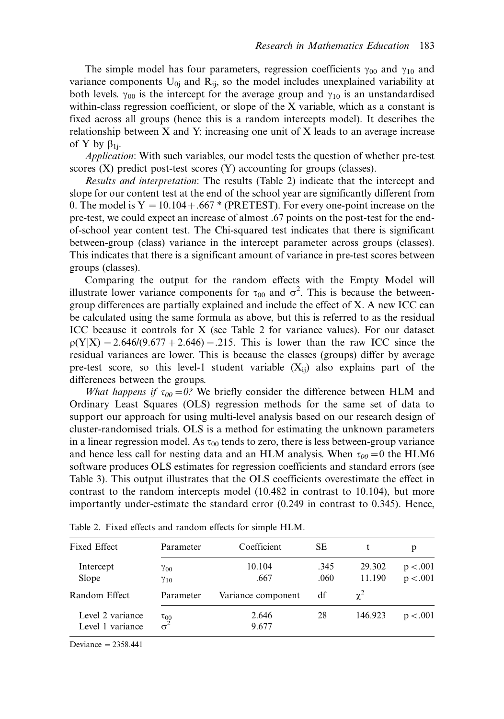The simple model has four parameters, regression coefficients  $\gamma_{00}$  and  $\gamma_{10}$  and variance components  $U_{0i}$  and  $R_{ii}$ , so the model includes unexplained variability at both levels.  $\gamma_{00}$  is the intercept for the average group and  $\gamma_{10}$  is an unstandardised within-class regression coefficient, or slope of the X variable, which as a constant is fixed across all groups (hence this is a random intercepts model). It describes the relationship between X and Y; increasing one unit of X leads to an average increase of Y by  $\beta_{1i}$ .

Application: With such variables, our model tests the question of whether pre-test scores (X) predict post-test scores (Y) accounting for groups (classes).

Results and interpretation: The results (Table 2) indicate that the intercept and slope for our content test at the end of the school year are significantly different from 0. The model is  $Y = 10.104 + .667 * (PRETEST)$ . For every one-point increase on the pre-test, we could expect an increase of almost .67 points on the post-test for the endof-school year content test. The Chi-squared test indicates that there is significant between-group (class) variance in the intercept parameter across groups (classes). This indicates that there is a significant amount of variance in pre-test scores between groups (classes).

Comparing the output for the random effects with the Empty Model will illustrate lower variance components for  $\tau_{00}$  and  $\sigma^2$ . This is because the betweengroup differences are partially explained and include the effect of X. A new ICC can be calculated using the same formula as above, but this is referred to as the residual ICC because it controls for X (see Table 2 for variance values). For our dataset  $p(Y|X) = 2.646/(9.677 + 2.646) = 0.215$ . This is lower than the raw ICC since the residual variances are lower. This is because the classes (groups) differ by average pre-test score, so this level-1 student variable  $(X_{ii})$  also explains part of the differences between the groups.

What happens if  $\tau_{00} = 0$ ? We briefly consider the difference between HLM and Ordinary Least Squares (OLS) regression methods for the same set of data to support our approach for using multi-level analysis based on our research design of cluster-randomised trials. OLS is a method for estimating the unknown parameters in a linear regression model. As  $\tau_{00}$  tends to zero, there is less between-group variance and hence less call for nesting data and an HLM analysis. When  $\tau_{00} = 0$  the HLM6 software produces OLS estimates for regression coefficients and standard errors (see Table 3). This output illustrates that the OLS coefficients overestimate the effect in contrast to the random intercepts model (10.482 in contrast to 10.104), but more importantly under-estimate the standard error (0.249 in contrast to 0.345). Hence,

| <b>Fixed Effect</b>                  | Parameter                 | Coefficient        | SЕ           |                  | р                    |
|--------------------------------------|---------------------------|--------------------|--------------|------------------|----------------------|
| Intercept<br>Slope                   | $\gamma_{00}$<br>$Y_{10}$ | 10.104<br>.667     | .345<br>.060 | 29.302<br>11.190 | p < .001<br>p < .001 |
| Random Effect                        | Parameter                 | Variance component | df           | $\chi^2$         |                      |
| Level 2 variance<br>Level 1 variance | $\tau_{00}$<br>$\sigma^2$ | 2.646<br>9.677     | 28           | 146.923          | p < .001             |

Table 2. Fixed effects and random effects for simple HLM.

 $Deviance = 2358.441$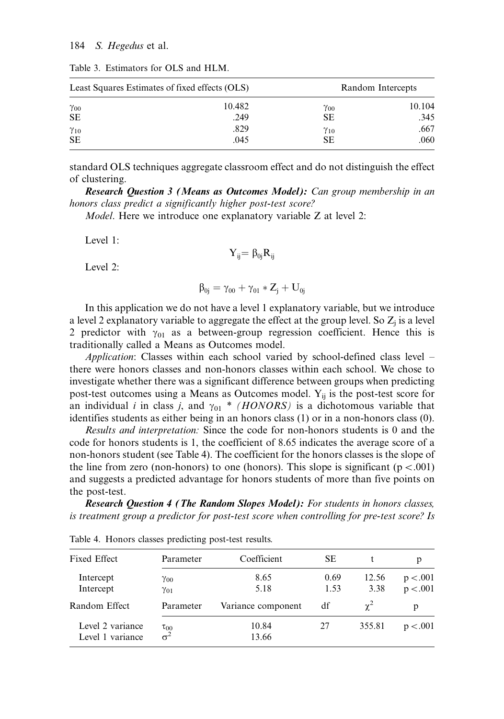#### 184 S. Hegedus et al.

| Least Squares Estimates of fixed effects (OLS) |        | Random Intercepts |        |
|------------------------------------------------|--------|-------------------|--------|
| $\gamma_{00}$                                  | 10.482 | $\gamma_{00}$     | 10.104 |
| <b>SE</b>                                      | .249   | <b>SE</b>         | .345   |
| $\gamma_{10}$                                  | .829   | $\gamma_{10}$     | .667   |
| <b>SE</b>                                      | .045   | <b>SE</b>         | .060   |

| Table 3. Estimators for OLS and HLM. |
|--------------------------------------|
|--------------------------------------|

standard OLS techniques aggregate classroom effect and do not distinguish the effect of clustering.

Research Question 3 (Means as Outcomes Model): Can group membership in an honors class predict a significantly higher post-test score?

Model. Here we introduce one explanatory variable Z at level 2:

Level 1:

$$
Y_{ij} = \beta_{0j} R_{ij}
$$

Level 2:

$$
\beta_{0j} = \gamma_{00} + \gamma_{01} * Z_j + U_{0j}
$$

In this application we do not have a level 1 explanatory variable, but we introduce a level 2 explanatory variable to aggregate the effect at the group level. So  $Z_i$  is a level 2 predictor with  $\gamma_{01}$  as a between-group regression coefficient. Hence this is traditionally called a Means as Outcomes model.

Application: Classes within each school varied by school-defined class level  $$ there were honors classes and non-honors classes within each school. We chose to investigate whether there was a significant difference between groups when predicting post-test outcomes using a Means as Outcomes model.  $Y_{ii}$  is the post-test score for an individual *i* in class *j*, and  $\gamma_{01}$  \* *(HONORS)* is a dichotomous variable that identifies students as either being in an honors class (1) or in a non-honors class (0).

Results and interpretation: Since the code for non-honors students is 0 and the code for honors students is 1, the coefficient of 8.65 indicates the average score of a non-honors student (see Table 4). The coefficient for the honors classes is the slope of the line from zero (non-honors) to one (honors). This slope is significant ( $p < .001$ ) and suggests a predicted advantage for honors students of more than five points on the post-test.

Research Question 4 (The Random Slopes Model): For students in honors classes, is treatment group a predictor for post-test score when controlling for pre-test score? Is

| <b>Fixed Effect</b>                  | Parameter                      | Coefficient        | <b>SE</b>    |               | p                    |
|--------------------------------------|--------------------------------|--------------------|--------------|---------------|----------------------|
| Intercept<br>Intercept               | $\gamma_{00}$<br>$\gamma_{01}$ | 8.65<br>5.18       | 0.69<br>1.53 | 12.56<br>3.38 | p < .001<br>p < .001 |
| Random Effect                        | Parameter                      | Variance component | df           | $\gamma^2$    | p                    |
| Level 2 variance<br>Level 1 variance | $\frac{\tau_{00}}{\sigma^2}$   | 10.84<br>13.66     | 27           | 355.81        | p < .001             |

Table 4. Honors classes predicting post-test results.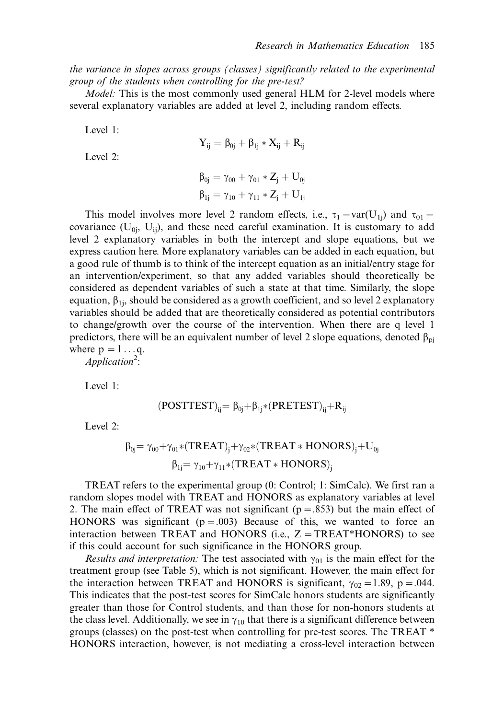the variance in slopes across groups (classes) significantly related to the experimental group of the students when controlling for the pre-test?

*Model:* This is the most commonly used general HLM for 2-level models where several explanatory variables are added at level 2, including random effects.

Level 1:

$$
Y_{ij}=\beta_{0j}+\beta_{1j}*X_{ij}+R_{ij}
$$

Level 2:

$$
\begin{aligned} \beta_{0j} &= \gamma_{00} + \gamma_{01} * Z_j + U_{0j} \\ \beta_{1j} &= \gamma_{10} + \gamma_{11} * Z_j + U_{1j} \end{aligned}
$$

This model involves more level 2 random effects, i.e.,  $\tau_1 = \text{var}(U_{1j})$  and  $\tau_{01} =$ covariance  $(U_{0i}, U_{ii})$ , and these need careful examination. It is customary to add level 2 explanatory variables in both the intercept and slope equations, but we express caution here. More explanatory variables can be added in each equation, but a good rule of thumb is to think of the intercept equation as an initial/entry stage for an intervention/experiment, so that any added variables should theoretically be considered as dependent variables of such a state at that time. Similarly, the slope equation,  $\beta_{1i}$ , should be considered as a growth coefficient, and so level 2 explanatory variables should be added that are theoretically considered as potential contributors to change/growth over the course of the intervention. When there are q level 1 predictors, there will be an equivalent number of level 2 slope equations, denoted  $\beta_{\text{pi}}$ where  $p = 1 \dots q$ .

 $Application<sup>2</sup>$ :

Level 1:

$$
\left( POSTTEST\right)_{ij}=\beta_{0j}+\beta_{1j}*(PRETEST)_{ij}+R_{ij}
$$

Level 2:

$$
\beta_{0j} = \gamma_{00} + \gamma_{01} * (TREAT)_j + \gamma_{02} * (TREAT * HONORS)_j + U_{0j}
$$
\n
$$
\beta_{1j} = \gamma_{10} + \gamma_{11} * (TREAT * HONORS)_j
$$

TREAT refers to the experimental group (0: Control; 1: SimCalc). We first ran a random slopes model with TREAT and HONORS as explanatory variables at level 2. The main effect of TREAT was not significant  $(p=.853)$  but the main effect of HONORS was significant  $(p = .003)$  Because of this, we wanted to force an interaction between TREAT and HONORS (i.e.,  $Z = TREAT*HONORS$ ) to see if this could account for such significance in the HONORS group.

Results and interpretation: The test associated with  $\gamma_{01}$  is the main effect for the treatment group (see Table 5), which is not significant. However, the main effect for the interaction between TREAT and HONORS is significant,  $\gamma_{02} = 1.89$ , p = .044. This indicates that the post-test scores for SimCalc honors students are significantly greater than those for Control students, and than those for non-honors students at the class level. Additionally, we see in  $\gamma_{10}$  that there is a significant difference between groups (classes) on the post-test when controlling for pre-test scores. The TREAT \* HONORS interaction, however, is not mediating a cross-level interaction between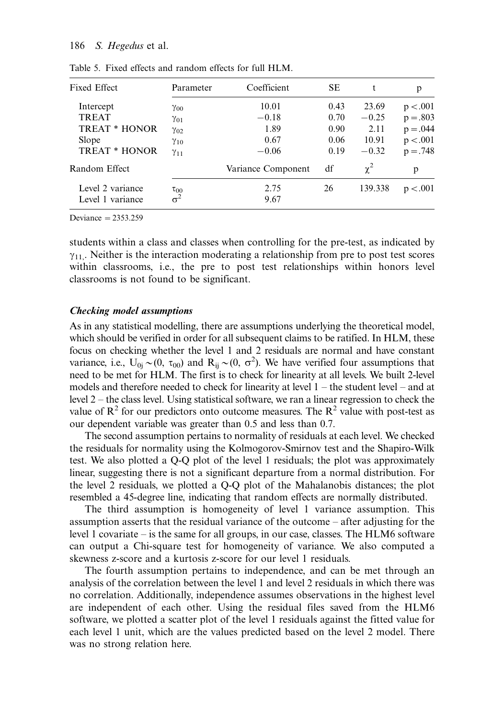#### 186 S. Hegedus et al.

| <b>Fixed Effect</b>                                                                | Parameter                                                                         | Coefficient                                 | <b>SE</b>                            | t                                            | p                                                               |
|------------------------------------------------------------------------------------|-----------------------------------------------------------------------------------|---------------------------------------------|--------------------------------------|----------------------------------------------|-----------------------------------------------------------------|
| Intercept<br><b>TREAT</b><br><b>TREAT * HONOR</b><br>Slope<br><b>TREAT * HONOR</b> | $\gamma_{00}$<br>$\gamma_{01}$<br>$\gamma_{02}$<br>$\gamma_{10}$<br>$\gamma_{11}$ | 10.01<br>$-0.18$<br>1.89<br>0.67<br>$-0.06$ | 0.43<br>0.70<br>0.90<br>0.06<br>0.19 | 23.69<br>$-0.25$<br>2.11<br>10.91<br>$-0.32$ | p < .001<br>$p = .803$<br>$p = 0.044$<br>p < .001<br>$p = .748$ |
| Random Effect                                                                      |                                                                                   | Variance Component                          | df                                   | $\chi^2$                                     | p                                                               |
| Level 2 variance<br>Level 1 variance                                               | $\frac{\tau_{00}}{\sigma^2}$                                                      | 2.75<br>9.67                                | 26                                   | 139.338                                      | p < .001                                                        |

Table 5. Fixed effects and random effects for full HLM.

Deviance  $= 2353.259$ 

students within a class and classes when controlling for the pre-test, as indicated by  $\gamma_{11}$ . Neither is the interaction moderating a relationship from pre to post test scores within classrooms, i.e., the pre to post test relationships within honors level classrooms is not found to be significant.

# Checking model assumptions

As in any statistical modelling, there are assumptions underlying the theoretical model, which should be verified in order for all subsequent claims to be ratified. In HLM, these focus on checking whether the level 1 and 2 residuals are normal and have constant variance, i.e.,  $U_{0j} \sim (0, \tau_{00})$  and  $R_{ij} \sim (0, \sigma^2)$ . We have verified four assumptions that need to be met for HLM. The first is to check for linearity at all levels. We built 2-level models and therefore needed to check for linearity at level  $1 -$  the student level  $-$  and at level  $2 -$  the class level. Using statistical software, we ran a linear regression to check the value of  $\mathbb{R}^2$  for our predictors onto outcome measures. The  $\mathbb{R}^2$  value with post-test as our dependent variable was greater than 0.5 and less than 0.7.

The second assumption pertains to normality of residuals at each level. We checked the residuals for normality using the Kolmogorov-Smirnov test and the Shapiro-Wilk test. We also plotted a Q-Q plot of the level 1 residuals; the plot was approximately linear, suggesting there is not a significant departure from a normal distribution. For the level 2 residuals, we plotted a Q-Q plot of the Mahalanobis distances; the plot resembled a 45-degree line, indicating that random effects are normally distributed.

The third assumption is homogeneity of level 1 variance assumption. This assumption asserts that the residual variance of the outcome after adjusting for the level 1 covariate  $-$  is the same for all groups, in our case, classes. The HLM6 software can output a Chi-square test for homogeneity of variance. We also computed a skewness z-score and a kurtosis z-score for our level 1 residuals.

The fourth assumption pertains to independence, and can be met through an analysis of the correlation between the level 1 and level 2 residuals in which there was no correlation. Additionally, independence assumes observations in the highest level are independent of each other. Using the residual files saved from the HLM6 software, we plotted a scatter plot of the level 1 residuals against the fitted value for each level 1 unit, which are the values predicted based on the level 2 model. There was no strong relation here.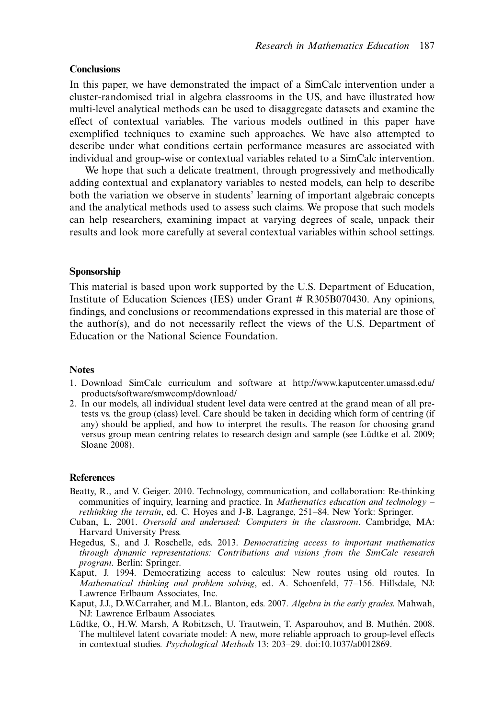# **Conclusions**

In this paper, we have demonstrated the impact of a SimCalc intervention under a cluster-randomised trial in algebra classrooms in the US, and have illustrated how multi-level analytical methods can be used to disaggregate datasets and examine the effect of contextual variables. The various models outlined in this paper have exemplified techniques to examine such approaches. We have also attempted to describe under what conditions certain performance measures are associated with individual and group-wise or contextual variables related to a SimCalc intervention.

We hope that such a delicate treatment, through progressively and methodically adding contextual and explanatory variables to nested models, can help to describe both the variation we observe in students' learning of important algebraic concepts and the analytical methods used to assess such claims. We propose that such models can help researchers, examining impact at varying degrees of scale, unpack their results and look more carefully at several contextual variables within school settings.

# Sponsorship

This material is based upon work supported by the U.S. Department of Education, Institute of Education Sciences (IES) under Grant # R305B070430. Any opinions, findings, and conclusions or recommendations expressed in this material are those of the author(s), and do not necessarily reflect the views of the U.S. Department of Education or the National Science Foundation.

# **Notes**

- 1. Download SimCalc curriculum and software at [http://www.kaputcenter.umassd.edu/](http://www.kaputcenter.umassd.edu/products/software/smwcomp/download/) [products/software/smwcomp/download/](http://www.kaputcenter.umassd.edu/products/software/smwcomp/download/)
- 2. In our models, all individual student level data were centred at the grand mean of all pretests vs. the group (class) level. Care should be taken in deciding which form of centring (if any) should be applied, and how to interpret the results. The reason for choosing grand versus group mean centring relates to research design and sample (see Lüdtke et al. 2009; Sloane 2008).

# **References**

- Beatty, R., and V. Geiger. 2010. Technology, communication, and collaboration: Re-thinking communities of inquiry, learning and practice. In *Mathematics education and technology* – rethinking the terrain, ed. C. Hoyes and J-B. Lagrange, 251–84. New York: Springer.
- Cuban, L. 2001. Oversold and underused: Computers in the classroom. Cambridge, MA: Harvard University Press.
- Hegedus, S., and J. Roschelle, eds. 2013. Democratizing access to important mathematics through dynamic representations: Contributions and visions from the SimCalc research program. Berlin: Springer.
- Kaput, J. 1994. Democratizing access to calculus: New routes using old routes. In Mathematical thinking and problem solving, ed. A. Schoenfeld, 77-156. Hillsdale, NJ: Lawrence Erlbaum Associates, Inc.
- Kaput, J.J., D.W.Carraher, and M.L. Blanton, eds. 2007. Algebra in the early grades. Mahwah, NJ: Lawrence Erlbaum Associates.
- Lüdtke, O., H.W. Marsh, A Robitzsch, U. Trautwein, T. Asparouhov, and B. Muthén. 2008. The multilevel latent covariate model: A new, more reliable approach to group-level effects in contextual studies. *Psychological Methods* 13: 203–29. doi:10.1037/a0012869.